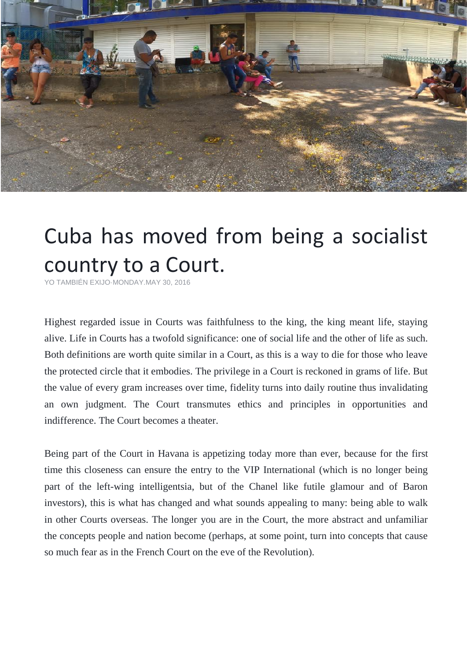

## Cuba has moved from being a socialist country to a Court.

[YO TAMBIÉN EXIJO](https://www.facebook.com/YoTambienExijo/)[·MONDAY.MAY 30, 2016](https://www.facebook.com/notes/yo-tambi%C3%A9n-exijo/cuba-ha-pasado-de-ser-un-pa%C3%ADs-socialista-a-ser-una-corte/1568907596743084)

Highest regarded issue in Courts was faithfulness to the king, the king meant life, staying alive. Life in Courts has a twofold significance: one of social life and the other of life as such. Both definitions are worth quite similar in a Court, as this is a way to die for those who leave the protected circle that it embodies. The privilege in a Court is reckoned in grams of life. But the value of every gram increases over time, fidelity turns into daily routine thus invalidating an own judgment. The Court transmutes ethics and principles in opportunities and indifference. The Court becomes a theater.

Being part of the Court in Havana is appetizing today more than ever, because for the first time this closeness can ensure the entry to the VIP International (which is no longer being part of the left-wing intelligentsia, but of the Chanel like futile glamour and of Baron investors), this is what has changed and what sounds appealing to many: being able to walk in other Courts overseas. The longer you are in the Court, the more abstract and unfamiliar the concepts people and nation become (perhaps, at some point, turn into concepts that cause so much fear as in the French Court on the eve of the Revolution).